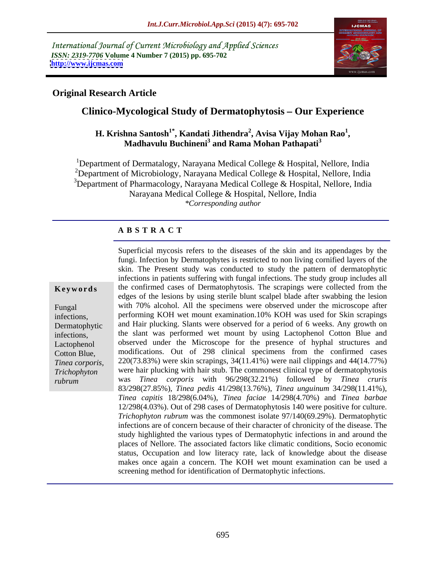International Journal of Current Microbiology and Applied Sciences *ISSN: 2319-7706* **Volume 4 Number 7 (2015) pp. 695-702 <http://www.ijcmas.com>**



## **Original Research Article**

# **Clinico-Mycological Study of Dermatophytosis – Our Experience**

#### $\mathbf{H}.$  Krishna Santosh $^{1^*},$  Kandati Jithendra $^2,$  Avisa Vijay Mohan Rao $^{1},$ **, Avisa Vijay Mohan Rao<sup>1</sup>** hna Santosh<sup>1</sup>°, Kandati Jithendra<sup>2</sup>, Avisa Vijay Mohan Rao<sup>1</sup>,<br>Madhavulu Buchineni<sup>3</sup> and Rama Mohan Pathapati<sup>3</sup>

<sup>1</sup>Department of Dermatalogy, Narayana Medical College & Hospital, Nellore, India <sup>2</sup>Department of Microbiology, Narayana Medical College & Hospital, Nellore, India <sup>3</sup>Department of Pharmacology, Narayana Medical College & Hospital, Nellore, India Narayana Medical College & Hospital, Nellore, India *\*Corresponding author*

### **A B S T R A C T**

*rubrum*

Superficial mycosis refers to the diseases of the skin and its appendages by the fungi. Infection by Dermatophytes is restricted to non living cornified layers of the skin. The Present study was conducted to study the pattern of dermatophytic infections in patients suffering with fungal infections. The study group includes all **Keywords** the confirmed cases of Dermatophytosis. The scrapings were collected from the edges of the lesions by using sterile blunt scalpel blade after swabbing the lesion with 70% alcohol. All the specimens were observed under the microscope after Fungal performing KOH wet mount examination.10% KOH was used for Skin scrapings infections, Dermatophytic and Hair plucking. Slants were observed for a period of 6 weeks. Any growth on the slant was performed wet mount by using Lactophenol Cotton Blue and infections, Lactophenol boserved under the Microscope for the presence of hyphal structures and modifications. Out of 298 clinical specimens from the confirmed cases Cotton Blue, 220(73.83%) were skin scrapings, 34(11.41%) were nail clippings and 44(14.77%) *Tinea corporis,*  were hair plucking with hair stub. The commonest clinical type of dermatophytosis *Trichophyton*  was *Tinea corporis* with 96/298(32.21%) followed by *Tinea cruris* 83/298(27.85%), *Tinea pedis* 41/298(13.76%), *Tinea unguinum* 34/298(11.41%), *Tinea capitis* 18/298(6.04%), *Tinea faciae* 14/298(4.70%) and *Tinea barbae* 12/298(4.03%). Out of 298 cases of Dermatophytosis 140 were positive for culture. *Trichophyton rubrum* was the commonest isolate 97/140(69.29%). Dermatophytic infections are of concern because of their character of chronicity of the disease. The study highlighted the various types of Dermatophytic infections in and around the places of Nellore. The associated factors like climatic conditions, Socio economic status, Occupation and low literacy rate, lack of knowledge about the disease makes once again a concern. The KOH wet mount examination can be used a screening method for identification of Dermatophytic infections.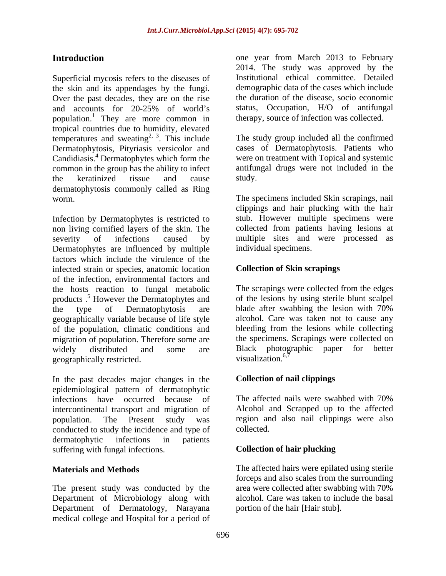Superficial mycosis refers to the diseases of the skin and its appendages by the fungi. Over the past decades, they are on the rise<br>and accounts for 20-25% of world's and accounts for 20-25% of world's status, Occupation, H/O of antifungal population.<sup>1</sup> They are more common in tropical countries due to humidity, elevated temperatures and sweating<sup>2, 3</sup>. This include Dermatophytosis, Pityriasis versicolor and Candidiasis.<sup>4</sup> Dermatophytes which form the common in the group has the ability to infect antifungal drugs were not included in the the keratinized tissue and cause dermatophytosis commonly called as Ring worm. The specimens included Skin scrapings, nail

Infection by Dermatophytes is restricted to non living cornified layers of theskin. The severity of infections caused by multiple sites and were processed as Dermatophytes are influenced by multiple factors which include the virulence of the infected strain or species, anatomic location of the infection, environmental factors and the hosts reaction to fungal metabolic products .<sup>5</sup> However the Dermatophytes and the type of Dermatophytosis are blade after swabbing the lesion with 70% geographically variable because of life style of the population, climatic conditions and migration of population. Therefore some are widely distributed and some are Black photographic paper for better geographically restricted. visualization.<sup>6,7</sup>

In the past decades major changes in the epidemiological pattern of dermatophytic infections have occurred because of The affected nails were swabbed with 70% intercontinental transport and migration of population. The Present study was region and also nail clippings were also conducted to study the incidence and type of collected. dermatophytic infections in patients suffering with fungal infections. Collection of hair plucking

The present study was conducted by the Department of Microbiology along with alcohol. Care was taken to include the basal Department of Dermatology, Narayana medical college and Hospital for a period of

**Introduction one** year from March 2013 to February 2014. The study was approved by the Institutional ethical committee. Detailed demographic data of the cases which include the duration of the disease, socio economic status, Occupation, H/O of antifungal therapy, source of infection was collected.

 $2^{2}$ ,  $3$ . This include The study group included all the confirmed Dermatophytes which form the were on treatment with Topical and systemic cases of Dermatophytosis. Patients who study.

> clippings and hair plucking with the hair stub. However multiple specimens were collected from patients having lesions at individual specimens.

### **Collection of Skin scrapings**

The scrapings were collected from the edges of the lesions by using sterile blunt scalpel blade after swabbing the lesion with 70% alcohol. Care was taken not to cause any bleeding from the lesions while collecting the specimens. Scrapings were collected on visualization. $6,7$ 

## **Collection of nail clippings**

The affected nails were swabbed with 70% Alcohol and Scrapped up to the affected collected.

### **Collection of hair plucking**

**Materials and Methods** The affected hairs were epilated using sterile forceps and also scales from the surrounding area were collected after swabbing with 70% portion of the hair [Hair stub].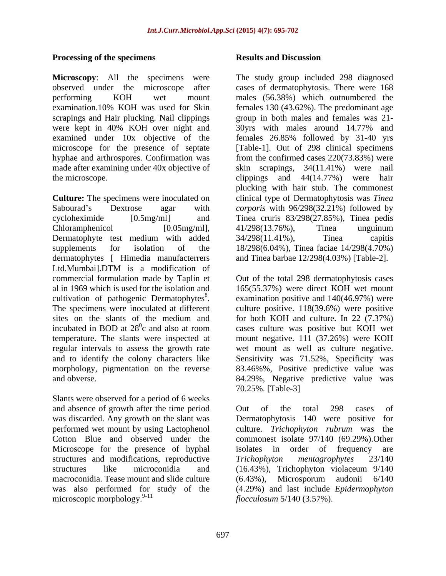#### **Processing of the specimens Processing of the specimens Results and Discussion**

**Microscopy**: All the specimens were The study group included 298 diagnosed observed under the microscope after cases of dermatophytosis. There were 168 performing KOH wet mount males(56.38%) which outnumbered the examination.10% KOH was used for Skin females 130 (43.62%). The predominant age scrapings and Hair plucking. Nail clippings group in both males and females was 21 were kept in 40% KOH over night and 30yrs with males around 14.77% and examined under 10x objective of the females 26.85% followed by 31-40 yrs microscope for the presence of septate [Table-1]. Out of 298 clinical specimens hyphae and arthrospores. Confirmation was from the confirmed cases 220(73.83%) were made after examining under 40x objective of skin scrapings, 34(11.41%) were nail the microscope. The microscope clippings and 44(14.77%) were hair

**Culture:** The specimens were inoculated on clinical type of Dermatophytosis was *Tinea*  Sabourad's Dextrose agar with *corporis* with 96/298(32.21%) followed by cycloheximide [0.5mg/ml] and Tinea cruris 83/298(27.85%), Tinea pedis  $Chloramphenicol$  [0.05mg/ml],  $41/298(13.76\%)$ , Tinea unguinum Dermatophyte test medium with added  $34/298(11.41\%)$ , Tinea capitis supplements for isolation of the 18/298(6.04%), Tinea faciae 14/298(4.70%) dermatophytes [ Himedia manufacterrers Ltd.Mumbai].DTM is a modification of commercial formulation made by Taplin et Out of the total 298 dermatophytosis cases al in 1969 which is used for the isolation and 165(55.37%) were direct KOH wet mount cultivation of pathogenic Dermatophytes<sup>8</sup>. examination positive and  $140(46.97%)$  were cultivation of pathogenic Dermatophytes<sup>8</sup>. examination positive and 140(46.97%) were<br>The specimens were inoculated at different culture positive. 118(39.6%) were positive sites on the slants of the medium and<br>incubated in BOD at  $28^\circ$ c and also at room incubated in BOD at  $28^\circ$ c and also at room cases culture was positive but KOH wet temperature. The slants were inspected at mount negative. 111 (37.26%) were KOH regular intervals to assess the growth rate wet mount as well as culture negative. and to identify the colony characters like Sensitivity was 71.52%, Specificity was morphology, pigmentation on the reverse 83.46%%, Positive predictive value was and obverse. 84.29%, Negative predictive value was

Slants were observed for a period of 6 weeks and absence of growth after the time period out of the total 298 cases of was discarded. Any growth on the slant was Dermatophytosis 140 were positive for performed wet mount by using Lactophenol culture. Trichophyton rubrum was the Microscope for the presence of hyphal isolates in order of frequency are structures and modifications, reproductive Trichophyton mentagrophytes 23/140 macroconidia. Tease mount and slide culture (6.43%), Microsporum audonii 6/140 microscopic morphology.<sup>9-11</sup>

#### **Results and Discussion**

skin scrapings,  $34(11.41\%)$  were clippings and 44(14.77%) were hair plucking with hair stub. The commonest 41/298(13.76%), Tinea unguinum 34/298(11.41%), Tinea capitis and Tinea barbae 12/298(4.03%) [Table-2].

culture positive. 118(39.6%) were positive for both KOH and culture. In 22 (7.37%) 70.25%. [Table-3]

Cotton Blue and observed under the commonest isolate 97/140 (69.29%).Other structures like microconidia and (16.43%), Trichophyton violaceum 9/140 was also performed for study of the (4.29%) and last include *Epidermophyton*  Out of the total 298 cases of Dermatophytosis 140 were positive culture. *Trichophyton rubrum* was the isolates in order of frequency are *Trichophyton mentagrophytes* 23/140 (6.43%), Microsporum audonii 6/140 *flocculosum* 5/140 (3.57%).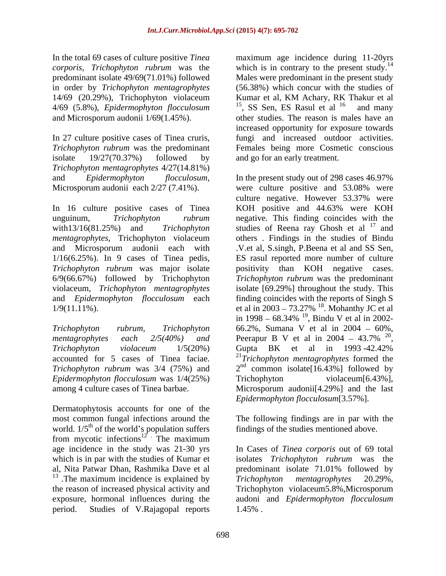In the total 69 cases of culture positive *Tinea*  maximum age incidence during 11-20yrs *corporis*, *Trichophyton rubrum* was the 14/69 (20.29%), Trichophyton violaceum Kumar et al, KM Achary, RK Thakur et al 4/69 (5.8%), *Epidermophyton flocculosum*

In 27 culture positive cases of Tinea cruris, fungi and increased outdoor activities. *Trichophyton rubrum* was the predominant Females being more Cosmetic conscious isolate 19/27(70.37%) followed by and go for an early treatment. *Trichophyton mentagrophytes* 4/27(14.81%)

*mentagrophytes*, Trichophyton violaceum 6/9(66.67%) followed by Trichophyton

*Trichophyton violaceum* 1/5(20%) *Epidermophyton flocculosum* was 1/4(25%)

Dermatophytosis accounts for one of the most common fungal infections around the The following findings are in par with the world.  $1/5^{th}$  of the world's population suffers from mycotic infections<sup>12</sup>. The maximum  $12$ . The maximum age incidence in the study was 21-30 yrs In Cases of *Tinea corporis* out of69 total which is in par with the studies of Kumar et isolates *Trichophyton rubrum* was the al, Nita Patwar Dhan, Rashmika Dave et al predominant isolate 71.01% followed by <sup>13</sup> .The maximum incidence is explained by  $Trichophy$ ton mentagrophytes 20.29%, the reason of increased physical activity and Trichophyton violaceum5.8%,Microsporum exposure, hormonal influences during the audoni and *Epidermophyton flocculosum* period. Studies of V.Rajagopal reports

predominant isolate 49/69(71.01%) followed Males were predominant in the present study in order by *Trichophyton mentagrophytes* (56.38%) which concur with the studies of and Microsporum audonii 1/69(1.45%). other studies. The reason is males have an which is in contrary to the present study.<sup>14</sup> Kumar et al, KM Achary, RK Thakur et al  $15$ , SS Sen, ES Rasul et al  $16$  and many and many increased opportunity for exposure towards

and *Epidermophyton flocculosum*, In the present study out of 298 cases 46.97%<br>Microsporum audonii each 2/27 (7.41%). were culture positive and 53.08% were In 16 culture positive cases of Tinea KOH positive and 44.63% were KOH unguinum, *Trichophyton rubrum* negative. This finding coincides with the with13/16(81.25%) and *Trichophyton* studies of Reena ray Ghosh et al <sup>17</sup> and and Microsporum audonii each with .V.et al, S.singh, P.Beena et al and SS Sen, 1/16(6.25%). In 9 cases of Tinea pedis, ES rasul reported more number of culture *Trichophyton rubrum* was major isolate positivity than KOH negative cases. violaceum, *Trichophyton mentagrophytes* isolate [69.29%] throughout the study. This and *Epidermophyton flocculosum* each finding coincides with the reports of Singh S  $1/9(11.11\%)$ . et al in  $2003 - 73.27\%$  <sup>18</sup>. Mohanthy JC et al *Trichophyton rubrum*, *Trichophyton* 66.2%, Sumana V et al in 2004 – 60%, *mentagrophytes each*  $2/5(40%)$  *and* Peerapur B V et al in 2004 – 43.7% <sup>20</sup>, accounted for 5 cases of Tinea faciae. <sup>21</sup>*Trichophyton mentagrophytes* formed the *Trichophyton rubrum* was  $3/4$  (75%) and  $2<sup>nd</sup>$  common isolate[16.43%] followed by among 4 culture cases of Tinea barbae. Microsporum audonii[4.29%] and the last In the present study out of 298 cases 46.97% were culture positive and 53.08% were culture negative. However 53.37% were and others . Findings in the studies of Bindu *Trichophyton rubrum* was the predominant in 1998 – 68.34% <sup>19</sup>, Bindu V et al in 2002-, Bindu V et al in 2002- 20 Peerapur B V et al in 2004 – 43.7%  $^{20}$ ,<br>Gupta BK et al in 1993 -42.42% Trichophyton violaceum[6.43%], *Epidermophyton flocculosum*[3.57%].

of the world's population suffers findings of the studies mentioned above.

*Trichophyton mentagrophytes* 20.29%, 1.45% .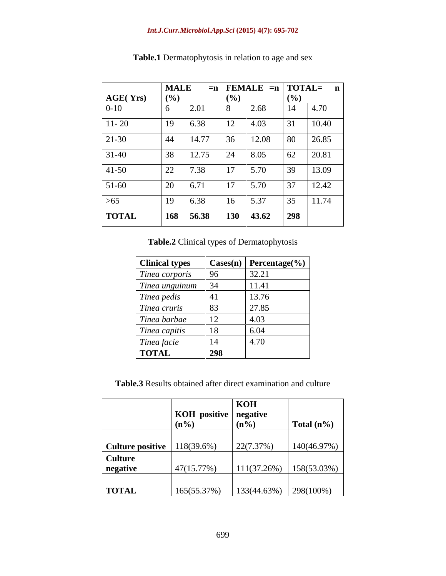### *Int.J.Curr.Microbiol.App.Sci* **(2015) 4(7): 695-702**

|                 | <b>MALE</b> |       |            |       |     | $= n  $ FEMALE $= n  $ TOTAL= n |
|-----------------|-------------|-------|------------|-------|-----|---------------------------------|
| <b>AGE(Yrs)</b> | (%)         |       | (9/0)      |       | (%) |                                 |
| $0 - 10$        |             | 2.01  | 8          | 2.68  | 14  | $\vert 4.70 \vert$              |
| $11 - 20$       | 19          | 6.38  | 12         | 4.03  | 31  | 10.40                           |
| 21-30           | 44          | 14.77 | 36         | 12.08 | 80  | 26.85                           |
| $31-40$         | 38          | 12.75 | 24         | 8.05  | 62  | 20.81                           |
| $ 41-50 $       | 22          | 7.38  | 17         | 5.70  | 39  | 13.09                           |
| $51-60$         | 20          | 6.71  | 17         | 5.70  | 37  | 12.42                           |
| $>65$           | 19          | 6.38  | 16         | 5.37  | 35  | 11.74                           |
| <b>TOTAL</b>    | $\vert$ 168 | 56.38 | <b>130</b> | 43.62 | 298 |                                 |

**Table.1** Dermatophytosis in relation to age and sex

**Table.2** Clinical types of Dermatophytosis

| <b>Clinical types</b> |             | $\vert$ Cases(n) Percentage(%) |
|-----------------------|-------------|--------------------------------|
| Tinea corporis        | 96          | 32.21                          |
| Tinea unguinum        |             | 11.41                          |
| Tinea pedis           |             | 13.76                          |
| Tinea cruris          | 83          | 27.85                          |
| Tinea barbae          | $\perp$     | 4.03                           |
| Tinea capitis         | 18          | 6.04                           |
| Tinea facie           |             | 4.70                           |
| <b>TOTAL</b>          | $\vert$ 298 |                                |

**Table.3** Results obtained after direct examination and culture

|                                         |                         | KOH                     |                           |
|-----------------------------------------|-------------------------|-------------------------|---------------------------|
|                                         | KOH positive   negative |                         |                           |
|                                         | $(n\%)$                 | $(n\%)$                 | $\int \text{Total} (n\%)$ |
|                                         |                         |                         |                           |
| <b>Culture positive</b>   $118(39.6\%)$ |                         | 22(7.37%)               | 140(46.97%)               |
| <b>Culture</b>                          |                         |                         |                           |
| negative                                | $47(15.77\%)$           |                         | $111(37.26%)$ 158(53.03%) |
|                                         |                         |                         |                           |
| <b>TOTAL</b>                            | 165(55.37%)             | $133(44.63%)$ 298(100%) |                           |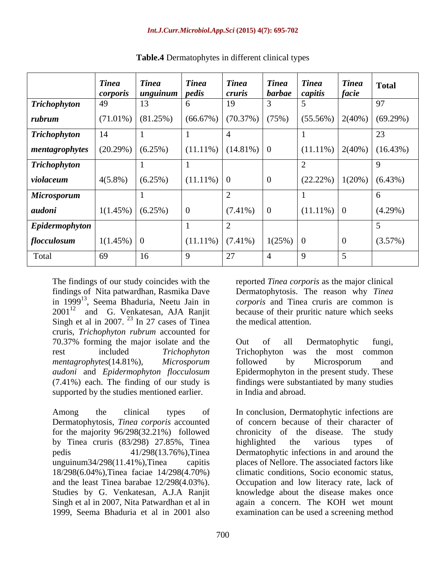|                        | <b>Tinea</b>                                 | <b>Tinea</b>                                           | <b>Tinea</b>            | <b>Tinea</b>        | <b>Tinea</b>                 | <b>Tinea</b>  | <b>Tinea</b>   | Total                                                              |
|------------------------|----------------------------------------------|--------------------------------------------------------|-------------------------|---------------------|------------------------------|---------------|----------------|--------------------------------------------------------------------|
| <b>Trichophyton</b>    |                                              | <i>corporis</i>   <i>unguinum</i>   <i>pedis</i><br>13 | - 6                     | <i>cruris</i><br>19 | $\int$ barbae $\int$ capitis |               | facie          | 97                                                                 |
|                        |                                              |                                                        |                         |                     |                              |               |                |                                                                    |
| rubrum                 |                                              | $(71.01\%)$ (81.25%)                                   | (66.67%) (70.37%) (75%) |                     |                              |               |                | $\left(55.56\% \right) \left(2(40\%) \left(69.29\% \right)\right)$ |
| <b>Trichophyton</b>    |                                              |                                                        |                         |                     |                              |               |                | 23                                                                 |
| $\vert$ mentagrophytes | $\left(20.29\% \right) \left(6.25\% \right)$ |                                                        | $(11.11\%) (14.81\%)$ 0 |                     |                              |               |                | $(11.11\%)$ 2(40%) (16.43%)                                        |
| <b>Trichophyton</b>    |                                              |                                                        |                         |                     |                              |               |                |                                                                    |
| violaceum              | $4(5.8\%)$ $(6.25\%)$                        |                                                        | $(11.11\%)$ 0           |                     |                              |               |                | $(22.22\%)$ 1(20%) (6.43%)                                         |
| <b>Microsporum</b>     |                                              |                                                        |                         |                     |                              |               |                |                                                                    |
| audoni                 | $1(1.45\%)$ (6.25%)                          |                                                        | $\overline{0}$          | $(7.41\%)$ 0        |                              | $(11.11\%)$ 0 |                | $(4.29\%)$                                                         |
| Epidermophyton         |                                              |                                                        |                         |                     |                              |               |                |                                                                    |
| flocculosum            | $1(1.45\%)$ 0                                |                                                        | $(11.11\%) (7.41\%)$    |                     | $1(25%)$ 0                   |               | $\overline{0}$ | (3.57%)                                                            |
| Total                  | 69                                           | 16                                                     | $\sqrt{2}$              | $\Omega$            |                              |               |                |                                                                    |

**Table.4** Dermatophytes in different clinical types

The findings of our study coincides with the reported *Tinea corporis* as the major clinical findings of Nita patwardhan, Rasmika Dave Dermatophytosis. The reason why *Tinea*  in 1999 13 , Seema Bhaduria, Neetu Jain in *corporis* and Tinea cruris are common is  $2001^{12}$  and G. Venkatesan, AJA Ranjit because of their pruritic nature which seeks Singh et al in 2007.  $^{23}$  In 27 cases of Tinea cruris, *Trichophyton rubrum* accounted for 70.37% forming the major isolate and the rest included *Trichophyton mentagrophytes*(14.81%), *Microsporum audoni* and *Epidermophyton flocculosum* Epidermophyton in the present study. These (7.41%) each. The finding of our study is findings were substantiated by many studies supported by the studies mentioned earlier.

for the majority  $96/298(32.21%)$  followed chronicity of the disease. The study by Tinea cruris (83/298) 27.85%, Tinea 18/298(6.04%),Tinea faciae 14/298(4.70%) and the least Tinea barabae 12/298(4.03%).

the medical attention.

Out of all Dermatophytic fungi,<br>Trichophyton was the most common followed by Microsporum and in India and abroad.

Among the clinical types of In conclusion, Dermatophytic infections are Dermatophytosis, *Tinea corporis* accounted of concern because of their character of pedis 41/298(13.76%),Tinea Dermatophytic infections in and around the unguinum34/298(11.41%),Tinea capitis places of Nellore. The associated factors like Studies by G. Venkatesan, A.J.A Ranjit knowledge about the disease makes once Singh et al in 2007, Nita Patwardhan et al in again a concern. The KOH wet mount 1999, Seema Bhaduria et al in 2001 also examination can be used a screening methodchronicity of the disease. highlighted the various types of climatic conditions, Socio economic status, Occupation and low literacy rate, lack of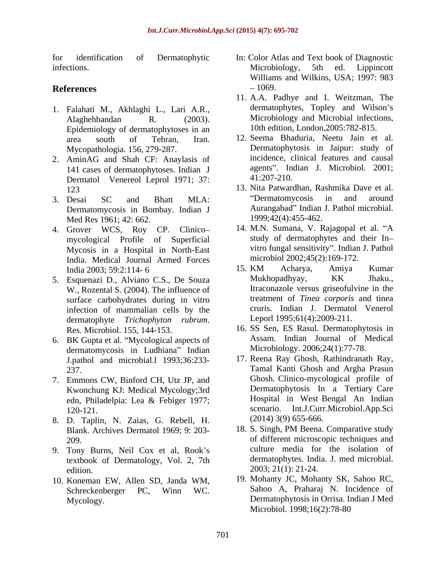- 1. Falahati M., Akhlaghi L., Lari A.R., dermatophytes, Topley and Wilson's Alaghehbandan R. (2003). Microbiology and Microbial infections, Epidemiology of dermatophytoses in an
- 2. AminAG and Shah CF: Anaylasis of 141 cases of dermatophytoses. Indian J agents". In<br>
Dermatol Venereol Lenrol 1971: 37: 41:207-210. Dermatol Venereol Leprol 1971; 37:
- Dermatomycosis in Bombay. Indian J Med Res 1961; 42: 662.
- 4. Grover WCS, Roy CP. Clinico mycological Profile of Superficial Mycosis in a Hospital in North-East India. Medical Journal Armed Forces<br>India 2003: 59:2:114-6<br>15. KM Acharya, Amiya Kumar
- W., Rozental S. (2004). The influence of surface carbohydrates during in vitro infection of mammalian cells by the dermatophyte *Trichophyton rubrum*. Leporl 1995;61(4):2009-211.<br>Res. Microbiol. 155, 144-153. 16. SS Sen, ES Rasul. Dermatophytosis in
- 6. BK Gupta et al. "Mycological aspects of dermatomycosis in Ludhiana" Indian J.pathol and microbial.l 1993;36:233-
- 7. Emmons CW, Binford CH, Utz JP, and Kwonchung KJ: Medical Mycology;3rd
- 8. D. Taplin, N. Zaias, G. Rebell, H. Blank. Archives Dermatol 1969; 9: 203-
- 9. Tony Burns, Neil Cox et al, Rook's textbook of Dermatology, Vol. 2, 7th edition. 2003; 21(1): 21-24.
- 10. Koneman EW, Allen SD, Janda WM, Schreckenberger PC, Winn WC.
- for identification of Dermatophytic In: Color Atlas and Text book of Diagnostic infections. Microbiology, 5th ed. Lippincott  $References$   $-1069.$ Microbiology, 5th ed. Lippincott Williams and Wilkins, USA; 1997: 983 1069.
	- 11. A.A. Padhye and I. Weitzman, The dermatophytes, Topley and Wilson's Microbiology and Microbial infections, 10th edition, London,2005:782-815.
	- area south of Tehran, Iran. 12. Seema Bhaduria, Neetu Jain et al. Mycopathologia. 156, 279-287. Dermatophytosis in Jaipur: study of incidence, clinical features and causal agents". Indian J. Microbiol. 2001; 41:207-210.
- 123 13. Nita Patwardhan, Rashmika Dave et al. 3. Desai SC and Bhatt MLA: Dermatomycosis in and around Aurangabad" Indian J. Pathol microbial. 1999;42(4):455-462.
	- 14. M.N. Sumana, V. Rajagopal et al. "A study of dermatophytes and their In vitro fungal sensitivity". Indian J. Pathol microbiol 2002;45(2):169-172.
- India 2003; 59:2:114- 6 5. Esquenazi D., Alviano C.S., De Souza 15. KM Acharya, Amiya Kumar Mukhopadhyay, KK Jhaku., Itraconazole versus griseofulvine in the treatment of *Tinea corporis* and tinea cruris. Indian J. Dermatol Venerol Leporl 1995;61(4):2009-211.
	- 16. SS Sen, ES Rasul. Dermatophytosis in Assam. Indian Journal of Medical Microbiology. 2006;24(1):77-78.
	- 237. Tamal Kanti Ghosh and Argha Prasun edn, Philadelpia: Lea & Febiger 1977; 120-121. scenario. Int.J.Curr.Microbiol.App.Sci 17. Reena Ray Ghosh, Rathindranath Ray, Ghosh. Clinico-mycological profile of Dermatophytosis In a Tertiary Care Hospital in West Bengal An Indian (2014) 3(9) 655-666.
	- 209. of different microscopic techniques and 18. S. Singh, PM Beena. Comparative study culture media for the isolation of dermatophytes. India. J. med microbial.
	- Mycology. Dermatophytosis in Orrisa. Indian J Med 19. Mohanty JC, Mohanty SK, Sahoo RC, Sahoo A, Praharaj N. Incidence of Microbiol. 1998;16(2):78-80